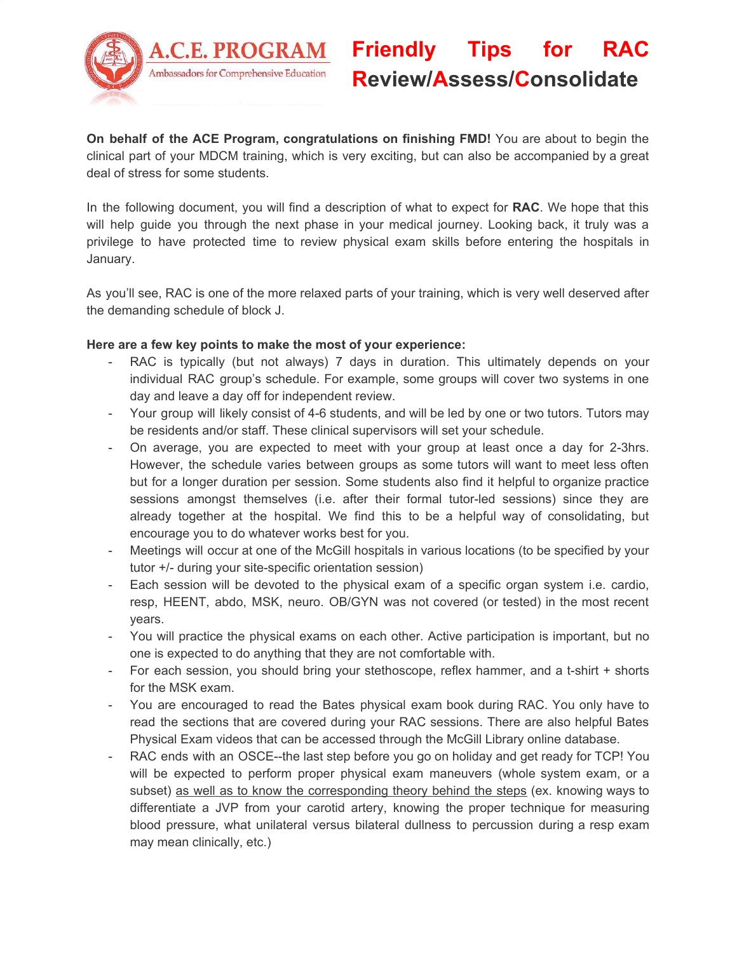

## **Friendly Tips for RAC Review/Assess/Consolidate**

**On behalf of the ACE Program, congratulations on finishing FMD!** You are about to begin the clinical part of your MDCM training, which is very exciting, but can also be accompanied by a great deal of stress for some students.

In the following document, you will find a description of what to expect for **RAC**. We hope that this will help guide you through the next phase in your medical journey. Looking back, it truly was a privilege to have protected time to review physical exam skills before entering the hospitals in January.

As you'll see, RAC is one of the more relaxed parts of your training, which is very well deserved after the demanding schedule of block J.

## **Here are a few key points to make the most of your experience:**

- RAC is typically (but not always) 7 days in duration. This ultimately depends on your individual RAC group's schedule. For example, some groups will cover two systems in one day and leave a day off for independent review.
- Your group will likely consist of 4-6 students, and will be led by one or two tutors. Tutors may be residents and/or staff. These clinical supervisors will set your schedule.
- On average, you are expected to meet with your group at least once a day for 2-3hrs. However, the schedule varies between groups as some tutors will want to meet less often but for a longer duration per session. Some students also find it helpful to organize practice sessions amongst themselves (i.e. after their formal tutor-led sessions) since they are already together at the hospital. We find this to be a helpful way of consolidating, but encourage you to do whatever works best for you.
- Meetings will occur at one of the McGill hospitals in various locations (to be specified by your tutor +/- during your site-specific orientation session)
- Each session will be devoted to the physical exam of a specific organ system i.e. cardio, resp, HEENT, abdo, MSK, neuro. OB/GYN was not covered (or tested) in the most recent years.
- You will practice the physical exams on each other. Active participation is important, but no one is expected to do anything that they are not comfortable with.
- For each session, you should bring your stethoscope, reflex hammer, and a t-shirt + shorts for the MSK exam.
- You are encouraged to read the Bates physical exam book during RAC. You only have to read the sections that are covered during your RAC sessions. There are also helpful Bates Physical Exam videos that can be accessed through the McGill Library online database.
- RAC ends with an OSCE--the last step before you go on holiday and get ready for TCP! You will be expected to perform proper physical exam maneuvers (whole system exam, or a subset) as well as to know the corresponding theory behind the steps (ex. knowing ways to differentiate a JVP from your carotid artery, knowing the proper technique for measuring blood pressure, what unilateral versus bilateral dullness to percussion during a resp exam may mean clinically, etc.)